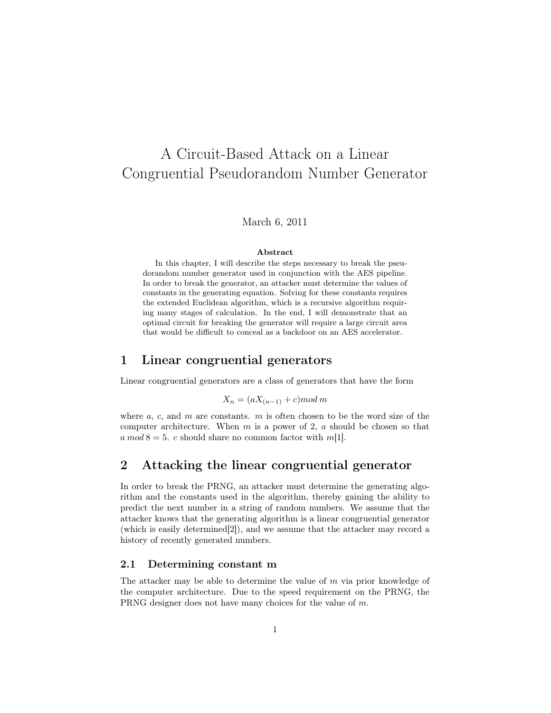# A Circuit-Based Attack on a Linear Congruential Pseudorandom Number Generator

#### March 6, 2011

#### Abstract

In this chapter, I will describe the steps necessary to break the pseudorandom number generator used in conjunction with the AES pipeline. In order to break the generator, an attacker must determine the values of constants in the generating equation. Solving for these constants requires the extended Euclidean algorithm, which is a recursive algorithm requiring many stages of calculation. In the end, I will demonstrate that an optimal circuit for breaking the generator will require a large circuit area that would be difficult to conceal as a backdoor on an AES accelerator.

### 1 Linear congruential generators

Linear congruential generators are a class of generators that have the form

$$
X_n = (aX_{(n-1)} + c) \mod m
$$

where  $a, c,$  and  $m$  are constants.  $m$  is often chosen to be the word size of the computer architecture. When  $m$  is a power of 2,  $a$  should be chosen so that a mod  $8 = 5$ . c should share no common factor with m[1].

# 2 Attacking the linear congruential generator

In order to break the PRNG, an attacker must determine the generating algorithm and the constants used in the algorithm, thereby gaining the ability to predict the next number in a string of random numbers. We assume that the attacker knows that the generating algorithm is a linear congruential generator (which is easily determined[2]), and we assume that the attacker may record a history of recently generated numbers.

#### 2.1 Determining constant m

The attacker may be able to determine the value of  $m$  via prior knowledge of the computer architecture. Due to the speed requirement on the PRNG, the PRNG designer does not have many choices for the value of m.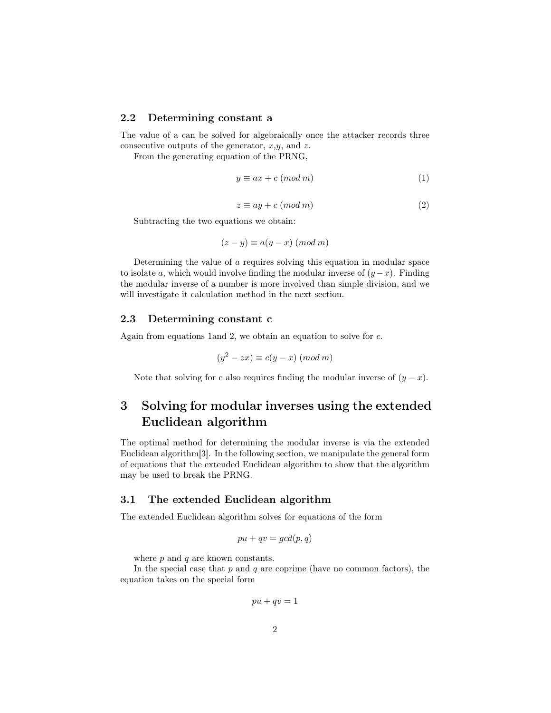#### 2.2 Determining constant a

The value of a can be solved for algebraically once the attacker records three consecutive outputs of the generator,  $x, y$ , and z.

From the generating equation of the PRNG,

$$
y \equiv ax + c \pmod{m} \tag{1}
$$

$$
z \equiv ay + c \pmod{m} \tag{2}
$$

Subtracting the two equations we obtain:

$$
(z - y) \equiv a(y - x) \pmod{m}
$$

Determining the value of a requires solving this equation in modular space to isolate a, which would involve finding the modular inverse of  $(y-x)$ . Finding the modular inverse of a number is more involved than simple division, and we will investigate it calculation method in the next section.

#### 2.3 Determining constant c

Again from equations 1and 2, we obtain an equation to solve for c.

$$
(y^2 - zx) \equiv c(y - x) \pmod{m}
$$

Note that solving for c also requires finding the modular inverse of  $(y - x)$ .

# 3 Solving for modular inverses using the extended Euclidean algorithm

The optimal method for determining the modular inverse is via the extended Euclidean algorithm[3]. In the following section, we manipulate the general form of equations that the extended Euclidean algorithm to show that the algorithm may be used to break the PRNG.

#### 3.1 The extended Euclidean algorithm

The extended Euclidean algorithm solves for equations of the form

$$
pu + qv = \gcd(p, q)
$$

where  $p$  and  $q$  are known constants.

In the special case that  $p$  and  $q$  are coprime (have no common factors), the equation takes on the special form

$$
pu + qv = 1
$$